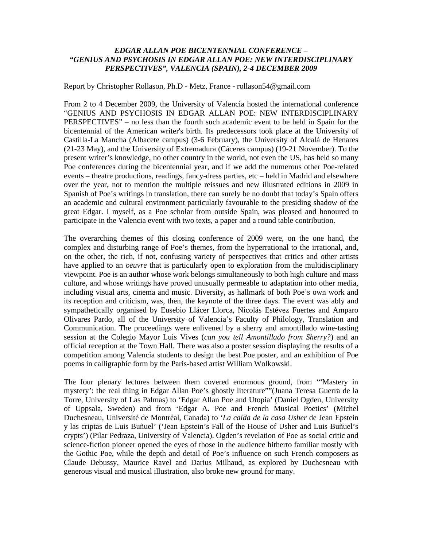## *EDGAR ALLAN POE BICENTENNIAL CONFERENCE – "GENIUS AND PSYCHOSIS IN EDGAR ALLAN POE: NEW INTERDISCIPLINARY PERSPECTIVES", VALENCIA (SPAIN), 2-4 DECEMBER 2009*

Report by Christopher Rollason, Ph.D - Metz, France - rollason54@gmail.com

From 2 to 4 December 2009, the University of Valencia hosted the international conference "GENIUS AND PSYCHOSIS IN EDGAR ALLAN POE: NEW INTERDISCIPLINARY PERSPECTIVES" – no less than the fourth such academic event to be held in Spain for the bicentennial of the American writer's birth. Its predecessors took place at the University of Castilla-La Mancha (Albacete campus) (3-6 February), the University of Alcalá de Henares (21-23 May), and the University of Extremadura (Cáceres campus) (19-21 November). To the present writer's knowledge, no other country in the world, not even the US, has held so many Poe conferences during the bicentennial year, and if we add the numerous other Poe-related events – theatre productions, readings, fancy-dress parties, etc – held in Madrid and elsewhere over the year, not to mention the multiple reissues and new illustrated editions in 2009 in Spanish of Poe's writings in translation, there can surely be no doubt that today's Spain offers an academic and cultural environment particularly favourable to the presiding shadow of the great Edgar. I myself, as a Poe scholar from outside Spain, was pleased and honoured to participate in the Valencia event with two texts, a paper and a round table contribution.

The overarching themes of this closing conference of 2009 were, on the one hand, the complex and disturbing range of Poe's themes, from the hyperrational to the irrational, and, on the other, the rich, if not, confusing variety of perspectives that critics and other artists have applied to an *oeuvre* that is particularly open to exploration from the multidisciplinary viewpoint. Poe is an author whose work belongs simultaneously to both high culture and mass culture, and whose writings have proved unusually permeable to adaptation into other media, including visual arts, cinema and music. Diversity, as hallmark of both Poe's own work and its reception and criticism, was, then, the keynote of the three days. The event was ably and sympathetically organised by Eusebio Llácer Llorca, Nicolás Estévez Fuertes and Amparo Olivares Pardo, all of the University of Valencia's Faculty of Philology, Translation and Communication. The proceedings were enlivened by a sherry and amontillado wine-tasting session at the Colegio Mayor Luis Vives (*can you tell Amontillado from Sherry?*) and an official reception at the Town Hall. There was also a poster session displaying the results of a competition among Valencia students to design the best Poe poster, and an exhibition of Poe poems in calligraphic form by the Paris-based artist William Wolkowski.

The four plenary lectures between them covered enormous ground, from '"Mastery in mystery': the real thing in Edgar Allan Poe's ghostly literature""(Juana Teresa Guerra de la Torre, University of Las Palmas) to 'Edgar Allan Poe and Utopia' (Daniel Ogden, University of Uppsala, Sweden) and from 'Edgar A. Poe and French Musical Poetics' (Michel Duchesneau, Université de Montréal, Canada) to '*La caída de la casa Usher* de Jean Epstein y las criptas de Luis Buñuel' ('Jean Epstein's Fall of the House of Usher and Luis Buñuel's crypts') (Pilar Pedraza, University of Valencia). Ogden's revelation of Poe as social critic and science-fiction pioneer opened the eyes of those in the audience hitherto familiar mostly with the Gothic Poe, while the depth and detail of Poe's influence on such French composers as Claude Debussy, Maurice Ravel and Darius Milhaud, as explored by Duchesneau with generous visual and musical illustration, also broke new ground for many.